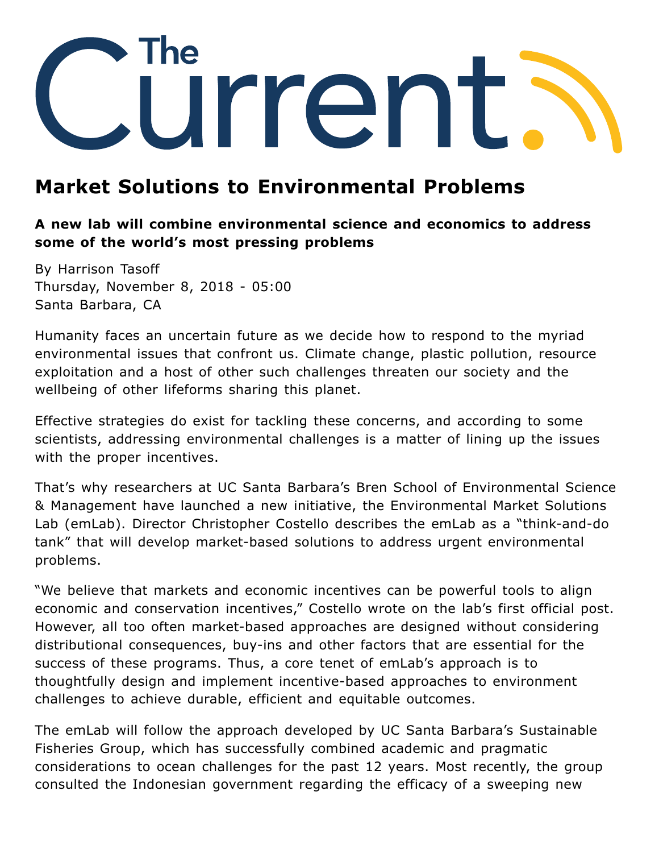

# **Market Solutions to Environmental Problems**

### **A new lab will combine environmental science and economics to address some of the world's most pressing problems**

By Harrison Tasoff Thursday, November 8, 2018 - 05:00 Santa Barbara, CA

Humanity faces an uncertain future as we decide how to respond to the myriad environmental issues that confront us. Climate change, plastic pollution, resource exploitation and a host of other such challenges threaten our society and the wellbeing of other lifeforms sharing this planet.

Effective strategies do exist for tackling these concerns, and according to some scientists, addressing environmental challenges is a matter of lining up the issues with the proper incentives.

That's why researchers at UC Santa Barbara's Bren School of Environmental Science [& Management have launched a new initiative, the Environmental Market Solutions](http://emlab.msi.ucsb.edu/) Lab (emLab). Director Christopher Costello describes the emLab as a "think-and-do tank" that will develop market-based solutions to address urgent environmental problems.

"We believe that markets and economic incentives can be powerful tools to align economic and conservation incentives," [Costello](https://www.bren.ucsb.edu/people/Faculty/chris_costello.htm) wrote on the lab's first official post. However, all too often market-based approaches are designed without considering distributional consequences, buy-ins and other factors that are essential for the success of these programs. Thus, a core tenet of emLab's approach is to thoughtfully design and implement incentive-based approaches to environment challenges to achieve durable, efficient and equitable outcomes.

The emLab will follow the approach developed by UC Santa Barbara's Sustainable Fisheries Group, which has successfully combined academic and pragmatic considerations to ocean challenges for the past 12 years. Most recently, the group consulted the Indonesian government regarding the efficacy of a sweeping new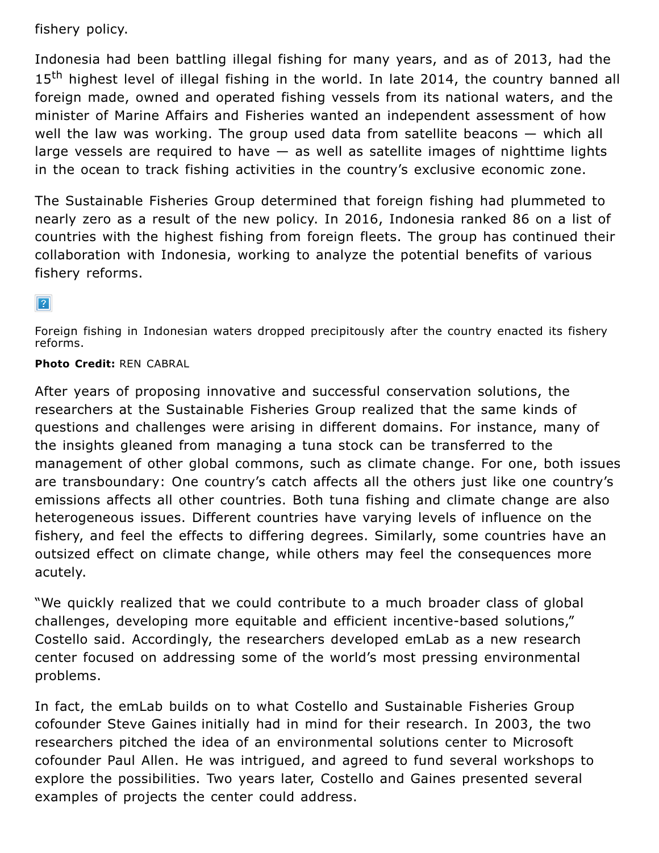fishery policy.

Indonesia had been battling illegal fishing for many years, and as of 2013, had the 15<sup>th</sup> highest level of illegal fishing in the world. In late 2014, the country banned all foreign made, owned and operated fishing vessels from its national waters, and the minister of Marine Affairs and Fisheries wanted an independent assessment of how well the law was working. The group used data from satellite beacons — which all large vessels are required to have  $-$  as well as satellite images of nighttime lights in the ocean to track fishing activities in the country's exclusive economic zone.

The Sustainable Fisheries Group [determined](http://www.news.ucsb.edu/2018/018811/fighting-illegal-fishing) that foreign fishing had plummeted to nearly zero as a result of the new policy. In 2016, Indonesia ranked 86 on a list of countries with the highest fishing from foreign fleets. The group has continued their collaboration with Indonesia, working to analyze the potential benefits of various fishery reforms.

#### $\sqrt{?}$

Foreign fishing in Indonesian waters dropped precipitously after the country enacted its fishery reforms.

### **Photo Credit:** REN CABRAL

After years of proposing innovative and successful conservation solutions, the researchers at the Sustainable Fisheries Group realized that the same kinds of questions and challenges were arising in different domains. For instance, many of the insights gleaned from managing a tuna stock can be transferred to the management of other global commons, such as climate change. For one, both issues are transboundary: One country's catch affects all the others just like one country's emissions affects all other countries. Both tuna fishing and climate change are also heterogeneous issues. Different countries have varying levels of influence on the fishery, and feel the effects to differing degrees. Similarly, some countries have an outsized effect on climate change, while others may feel the consequences more acutely.

"We quickly realized that we could contribute to a much broader class of global challenges, developing more equitable and efficient incentive-based solutions," Costello said. Accordingly, the researchers developed emLab as a new research center focused on addressing some of the world's most pressing environmental problems.

In fact, the emLab builds on to what Costello and Sustainable Fisheries Group cofounder [Steve Gaines](http://www.bren.ucsb.edu/people/Faculty/steven_gaines.htm) initially had in mind for their research. In 2003, the two researchers pitched the idea of an environmental solutions center to Microsoft cofounder Paul Allen. He was intrigued, and agreed to fund several workshops to explore the possibilities. Two years later, Costello and Gaines presented several examples of projects the center could address.